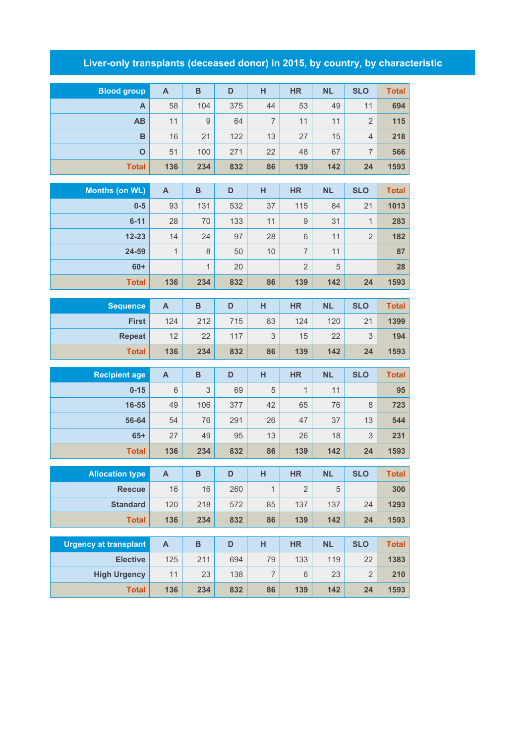## **Liver-only transplants (deceased donor) in 2015, by country, by characteristic**

| <b>Blood group</b>             | $\mathsf{A}$              | $\, {\bf B}$        | D         | H              | <b>HR</b>      | <b>NL</b>       | <b>SLO</b>                     | <b>Total</b>         |
|--------------------------------|---------------------------|---------------------|-----------|----------------|----------------|-----------------|--------------------------------|----------------------|
| A                              | 58                        | 104                 | 375       | 44             | 53             | 49              | 11                             | 694                  |
| AB                             | 11                        | 9                   | 64        | $\overline{7}$ | 11             | 11              | $\overline{2}$                 | 115                  |
| B                              | 16                        | 21                  | 122       | 13             | 27             | 15              | $\overline{4}$                 | 218                  |
| $\mathbf{o}$                   | 51                        | 100                 | 271       | 22             | 48             | 67              | $\overline{7}$                 | 566                  |
| <b>Total</b>                   | 136                       | 234                 | 832       | 86             | 139            | 142             | 24                             | 1593                 |
|                                |                           |                     |           |                |                |                 | <b>SLO</b>                     |                      |
| <b>Months (on WL)</b><br>$0-5$ | $\mathsf{A}$<br>93        | $\, {\bf B}$<br>131 | D<br>532  | H<br>37        | <b>HR</b>      | <b>NL</b><br>84 |                                | <b>Total</b><br>1013 |
| $6 - 11$                       |                           |                     |           | 11             | 115<br>$9$     | 31              | 21                             |                      |
| $12 - 23$                      | 28<br>14                  | 70<br>24            | 133<br>97 | 28             | 6              | 11              | $\mathbf{1}$<br>$\overline{2}$ | 283<br>182           |
| 24-59                          | $\mathbf{1}$              | $\,8\,$             | 50        | 10             | $\overline{7}$ | 11              |                                | 87                   |
| $60+$                          |                           | $\mathbf{1}$        | 20        |                | $\overline{2}$ | 5               |                                | 28                   |
| <b>Total</b>                   | 136                       | 234                 | 832       | 86             | 139            | 142             | 24                             | 1593                 |
|                                |                           |                     |           |                |                |                 |                                |                      |
| <b>Sequence</b>                | A                         | $\, {\bf B}$        | D         | H              | <b>HR</b>      | <b>NL</b>       | <b>SLO</b>                     | <b>Total</b>         |
| <b>First</b>                   | 124                       | 212                 | 715       | 83             | 124            | 120             | 21                             | 1399                 |
| <b>Repeat</b>                  | 12                        | 22                  | 117       | 3              | 15             | 22              | 3                              | 194                  |
| <b>Total</b>                   | 136                       | 234                 | 832       | 86             | 139            | 142             | 24                             | 1593                 |
| <b>Recipient age</b>           | $\mathsf{A}$              | $\mathbf B$         | D         | H              | <b>HR</b>      | <b>NL</b>       | <b>SLO</b>                     | <b>Total</b>         |
| $0 - 15$                       | 6                         | 3                   | 69        | 5              | $\mathbf{1}$   | 11              |                                | 95                   |
| 16-55                          | 49                        | 106                 | 377       | 42             | 65             | 76              | 8                              | 723                  |
| 56-64                          | 54                        | 76                  | 291       | 26             | 47             | 37              | 13                             | 544                  |
| $65+$                          | 27                        | 49                  | 95        | 13             | 26             | 18              | 3                              | 231                  |
| <b>Total</b>                   | 136                       | 234                 | 832       | 86             | 139            | 142             | 24                             | 1593                 |
|                                |                           |                     |           |                |                |                 |                                |                      |
| <b>Allocation type</b>         | $\boldsymbol{\mathsf{A}}$ | B                   | D         | H              | HR             | <b>NL</b>       | <b>SLO</b>                     | Total                |
| <b>Rescue</b>                  | 16                        | 16                  | 260       | $\mathbf{1}$   | $\overline{2}$ | 5               |                                | 300                  |
| <b>Standard</b>                | 120                       | 218                 | 572       | 85             | 137            | 137             | 24                             | 1293                 |
| <b>Total</b>                   | 136                       | 234                 | 832       | 86             | 139            | 142             | 24                             | 1593                 |
| <b>Urgency at transplant</b>   | A                         | B                   | D         | H              | <b>HR</b>      | <b>NL</b>       | <b>SLO</b>                     | <b>Total</b>         |
| <b>Elective</b>                | 125                       | 211                 | 694       | 79             | 133            | 119             | 22                             | 1383                 |
| <b>High Urgency</b>            | 11                        | 23                  | 138       | $\overline{7}$ | $6\,$          | 23              | $\overline{2}$                 | 210                  |
| <b>Total</b>                   | 136                       | 234                 | 832       | 86             | 139            | 142             | 24                             | 1593                 |